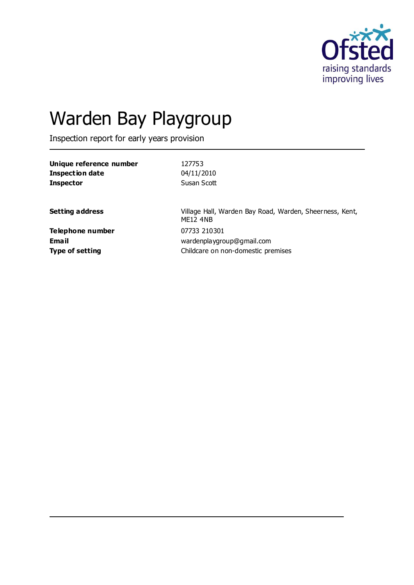

# Warden Bay Playgroup

Inspection report for early years provision

| Unique reference number | 127753                                                                     |
|-------------------------|----------------------------------------------------------------------------|
| <b>Inspection date</b>  | 04/11/2010                                                                 |
| <b>Inspector</b>        | Susan Scott                                                                |
| <b>Setting address</b>  | Village Hall, Warden Bay Road, Warden, Sheerness, Kent,<br><b>ME12 4NB</b> |
| Telephone number        | 07733 210301                                                               |
| <b>Email</b>            | wardenplaygroup@gmail.com                                                  |
| <b>Type of setting</b>  | Childcare on non-domestic premises                                         |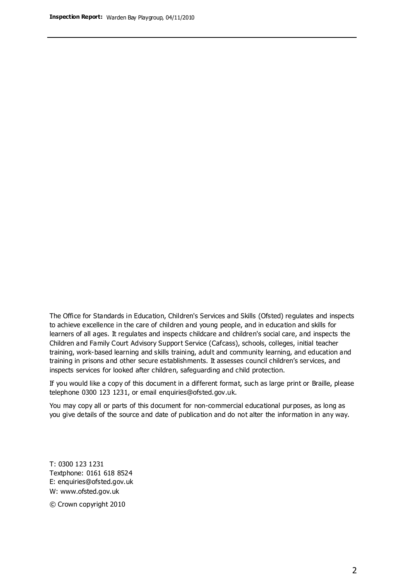The Office for Standards in Education, Children's Services and Skills (Ofsted) regulates and inspects to achieve excellence in the care of children and young people, and in education and skills for learners of all ages. It regulates and inspects childcare and children's social care, and inspects the Children and Family Court Advisory Support Service (Cafcass), schools, colleges, initial teacher training, work-based learning and skills training, adult and community learning, and education and training in prisons and other secure establishments. It assesses council children's services, and inspects services for looked after children, safeguarding and child protection.

If you would like a copy of this document in a different format, such as large print or Braille, please telephone 0300 123 1231, or email enquiries@ofsted.gov.uk.

You may copy all or parts of this document for non-commercial educational purposes, as long as you give details of the source and date of publication and do not alter the information in any way.

T: 0300 123 1231 Textphone: 0161 618 8524 E: enquiries@ofsted.gov.uk W: [www.ofsted.gov.uk](http://www.ofsted.gov.uk/)

© Crown copyright 2010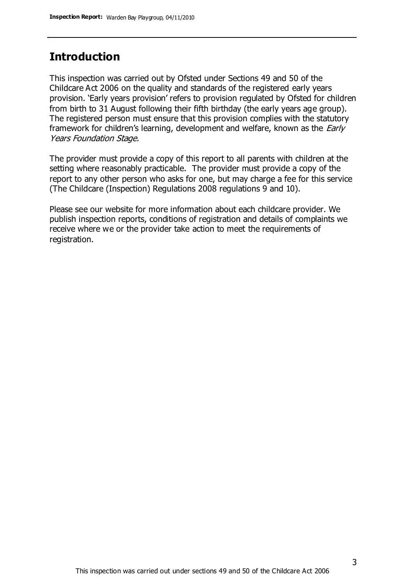## **Introduction**

This inspection was carried out by Ofsted under Sections 49 and 50 of the Childcare Act 2006 on the quality and standards of the registered early years provision. 'Early years provision' refers to provision regulated by Ofsted for children from birth to 31 August following their fifth birthday (the early years age group). The registered person must ensure that this provision complies with the statutory framework for children's learning, development and welfare, known as the *Early* Years Foundation Stage.

The provider must provide a copy of this report to all parents with children at the setting where reasonably practicable. The provider must provide a copy of the report to any other person who asks for one, but may charge a fee for this service (The Childcare (Inspection) Regulations 2008 regulations 9 and 10).

Please see our website for more information about each childcare provider. We publish inspection reports, conditions of registration and details of complaints we receive where we or the provider take action to meet the requirements of registration.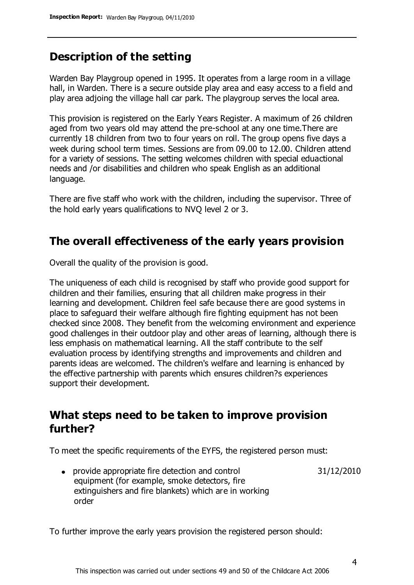## **Description of the setting**

Warden Bay Playgroup opened in 1995. It operates from a large room in a village hall, in Warden. There is a secure outside play area and easy access to a field and play area adjoing the village hall car park. The playgroup serves the local area.

This provision is registered on the Early Years Register. A maximum of 26 children aged from two years old may attend the pre-school at any one time.There are currently 18 children from two to four years on roll. The group opens five days a week during school term times. Sessions are from 09.00 to 12.00. Children attend for a variety of sessions. The setting welcomes children with special eduactional needs and /or disabilities and children who speak English as an additional language.

There are five staff who work with the children, including the supervisor. Three of the hold early years qualifications to NVQ level 2 or 3.

### **The overall effectiveness of the early years provision**

Overall the quality of the provision is good.

The uniqueness of each child is recognised by staff who provide good support for children and their families, ensuring that all children make progress in their learning and development. Children feel safe because there are good systems in place to safeguard their welfare although fire fighting equipment has not been checked since 2008. They benefit from the welcoming environment and experience good challenges in their outdoor play and other areas of learning, although there is less emphasis on mathematical learning. All the staff contribute to the self evaluation process by identifying strengths and improvements and children and parents ideas are welcomed. The children's welfare and learning is enhanced by the effective partnership with parents which ensures children?s experiences support their development.

### **What steps need to be taken to improve provision further?**

To meet the specific requirements of the EYFS, the registered person must:

provide appropriate fire detection and control equipment (for example, smoke detectors, fire extinguishers and fire blankets) which are in working order 31/12/2010

To further improve the early years provision the registered person should: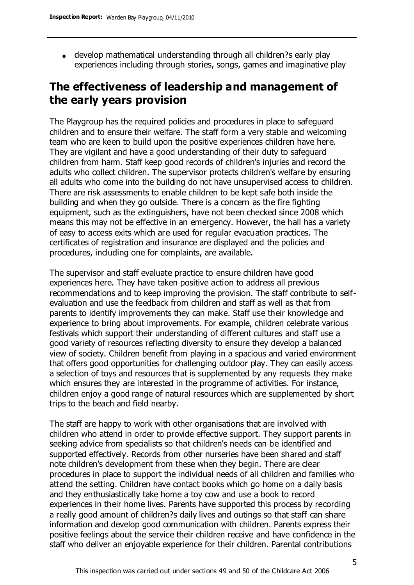develop mathematical understanding through all children?s early play experiences including through stories, songs, games and imaginative play

## **The effectiveness of leadership and management of the early years provision**

The Playgroup has the required policies and procedures in place to safeguard children and to ensure their welfare. The staff form a very stable and welcoming team who are keen to build upon the positive experiences children have here. They are vigilant and have a good understanding of their duty to safeguard children from harm. Staff keep good records of children's injuries and record the adults who collect children. The supervisor protects children's welfare by ensuring all adults who come into the building do not have unsupervised access to children. There are risk assessments to enable children to be kept safe both inside the building and when they go outside. There is a concern as the fire fighting equipment, such as the extinguishers, have not been checked since 2008 which means this may not be effective in an emergency. However, the hall has a variety of easy to access exits which are used for regular evacuation practices. The certificates of registration and insurance are displayed and the policies and procedures, including one for complaints, are available.

The supervisor and staff evaluate practice to ensure children have good experiences here. They have taken positive action to address all previous recommendations and to keep improving the provision. The staff contribute to selfevaluation and use the feedback from children and staff as well as that from parents to identify improvements they can make. Staff use their knowledge and experience to bring about improvements. For example, children celebrate various festivals which support their understanding of different cultures and staff use a good variety of resources reflecting diversity to ensure they develop a balanced view of society. Children benefit from playing in a spacious and varied environment that offers good opportunities for challenging outdoor play. They can easily access a selection of toys and resources that is supplemented by any requests they make which ensures they are interested in the programme of activities. For instance, children enjoy a good range of natural resources which are supplemented by short trips to the beach and field nearby.

The staff are happy to work with other organisations that are involved with children who attend in order to provide effective support. They support parents in seeking advice from specialists so that children's needs can be identified and supported effectively. Records from other nurseries have been shared and staff note children's development from these when they begin. There are clear procedures in place to support the individual needs of all children and families who attend the setting. Children have contact books which go home on a daily basis and they enthusiastically take home a toy cow and use a book to record experiences in their home lives. Parents have supported this process by recording a really good amount of children?s daily lives and outings so that staff can share information and develop good communication with children. Parents express their positive feelings about the service their children receive and have confidence in the staff who deliver an enjoyable experience for their children. Parental contributions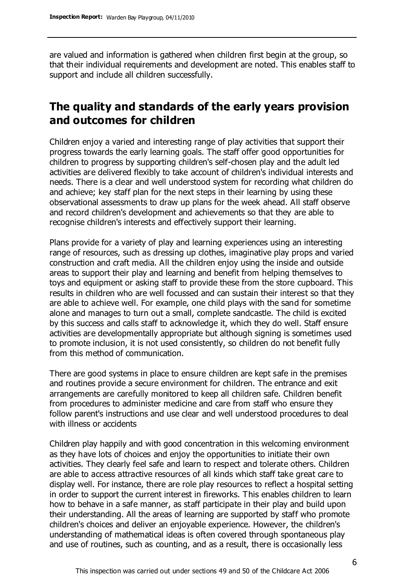are valued and information is gathered when children first begin at the group, so that their individual requirements and development are noted. This enables staff to support and include all children successfully.

## **The quality and standards of the early years provision and outcomes for children**

Children enjoy a varied and interesting range of play activities that support their progress towards the early learning goals. The staff offer good opportunities for children to progress by supporting children's self-chosen play and the adult led activities are delivered flexibly to take account of children's individual interests and needs. There is a clear and well understood system for recording what children do and achieve; key staff plan for the next steps in their learning by using these observational assessments to draw up plans for the week ahead. All staff observe and record children's development and achievements so that they are able to recognise children's interests and effectively support their learning.

Plans provide for a variety of play and learning experiences using an interesting range of resources, such as dressing up clothes, imaginative play props and varied construction and craft media. All the children enjoy using the inside and outside areas to support their play and learning and benefit from helping themselves to toys and equipment or asking staff to provide these from the store cupboard. This results in children who are well focussed and can sustain their interest so that they are able to achieve well. For example, one child plays with the sand for sometime alone and manages to turn out a small, complete sandcastle. The child is excited by this success and calls staff to acknowledge it, which they do well. Staff ensure activities are developmentally appropriate but although signing is sometimes used to promote inclusion, it is not used consistently, so children do not benefit fully from this method of communication.

There are good systems in place to ensure children are kept safe in the premises and routines provide a secure environment for children. The entrance and exit arrangements are carefully monitored to keep all children safe. Children benefit from procedures to administer medicine and care from staff who ensure they follow parent's instructions and use clear and well understood procedures to deal with illness or accidents

Children play happily and with good concentration in this welcoming environment as they have lots of choices and enjoy the opportunities to initiate their own activities. They clearly feel safe and learn to respect and tolerate others. Children are able to access attractive resources of all kinds which staff take great care to display well. For instance, there are role play resources to reflect a hospital setting in order to support the current interest in fireworks. This enables children to learn how to behave in a safe manner, as staff participate in their play and build upon their understanding. All the areas of learning are supported by staff who promote children's choices and deliver an enjoyable experience. However, the children's understanding of mathematical ideas is often covered through spontaneous play and use of routines, such as counting, and as a result, there is occasionally less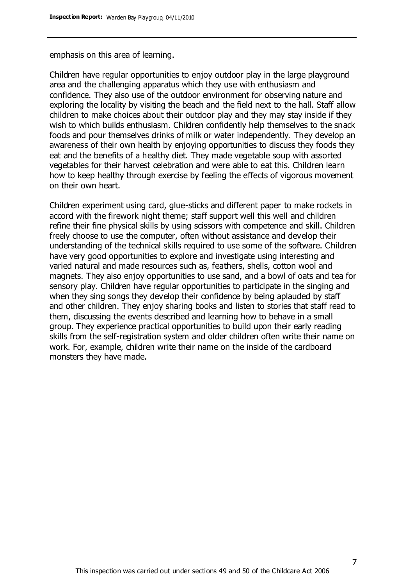emphasis on this area of learning.

Children have regular opportunities to enjoy outdoor play in the large playground area and the challenging apparatus which they use with enthusiasm and confidence. They also use of the outdoor environment for observing nature and exploring the locality by visiting the beach and the field next to the hall. Staff allow children to make choices about their outdoor play and they may stay inside if they wish to which builds enthusiasm. Children confidently help themselves to the snack foods and pour themselves drinks of milk or water independently. They develop an awareness of their own health by enjoying opportunities to discuss they foods they eat and the benefits of a healthy diet. They made vegetable soup with assorted vegetables for their harvest celebration and were able to eat this. Children learn how to keep healthy through exercise by feeling the effects of vigorous movement on their own heart.

Children experiment using card, glue-sticks and different paper to make rockets in accord with the firework night theme; staff support well this well and children refine their fine physical skills by using scissors with competence and skill. Children freely choose to use the computer, often without assistance and develop their understanding of the technical skills required to use some of the software. Children have very good opportunities to explore and investigate using interesting and varied natural and made resources such as, feathers, shells, cotton wool and magnets. They also enjoy opportunities to use sand, and a bowl of oats and tea for sensory play. Children have regular opportunities to participate in the singing and when they sing songs they develop their confidence by being aplauded by staff and other children. They enjoy sharing books and listen to stories that staff read to them, discussing the events described and learning how to behave in a small group. They experience practical opportunities to build upon their early reading skills from the self-registration system and older children often write their name on work. For, example, children write their name on the inside of the cardboard monsters they have made.